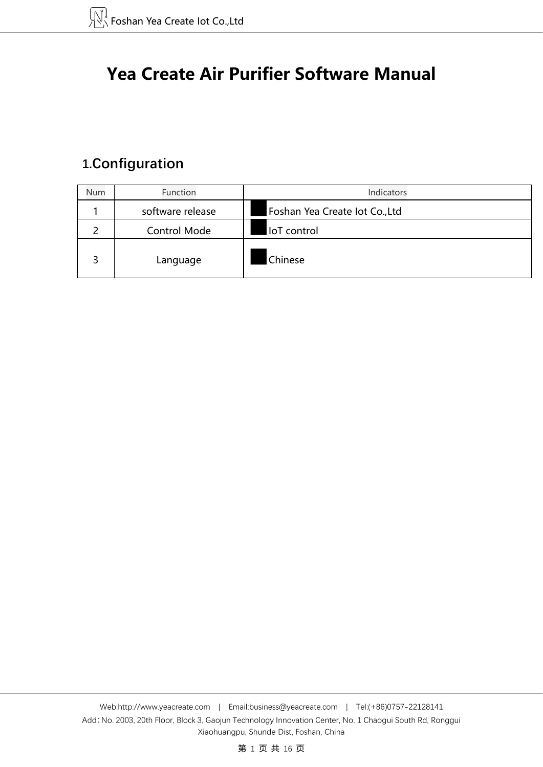# **Yea Create Air Purifier Software Manual**

# **1.Configuration**

| Num | Function            | Indicators                     |
|-----|---------------------|--------------------------------|
|     | software release    | Foshan Yea Create lot Co., Ltd |
|     | <b>Control Mode</b> | loT control                    |
| っ   | Language            | Chinese                        |

第 1 页 共 16 页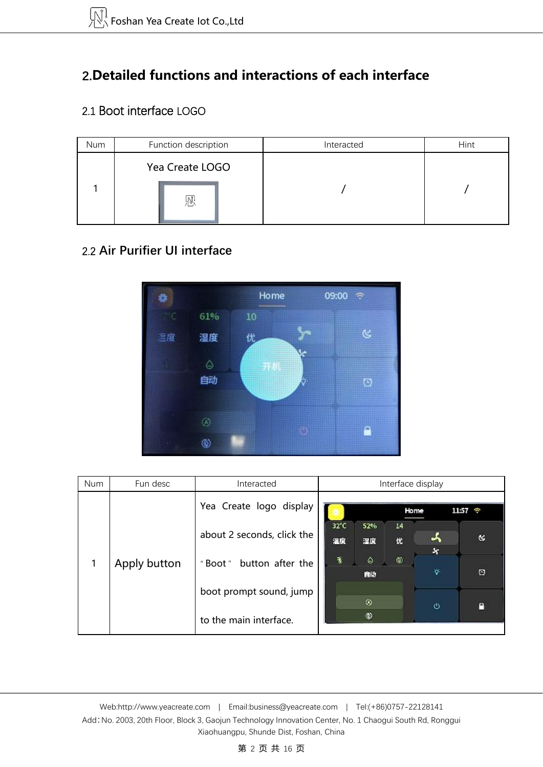# **2.Detailed functions and interactions of each interface**

## 2.1 Boot interface LOGO

| Num | Function description | Interacted | Hint |
|-----|----------------------|------------|------|
|     | Yea Create LOGO      |            |      |
|     | W,                   |            |      |

## 2.2 **Air Purifier UI interface**



| Num | Fun desc     | Interacted                   |                |                | Interface display |                |                   |
|-----|--------------|------------------------------|----------------|----------------|-------------------|----------------|-------------------|
|     |              | Yea Create logo display      |                |                | Home              |                | $11:57$ $\degree$ |
|     |              | about 2 seconds, click the   | $32^{\circ}$ C | 52%            | 14                |                |                   |
|     |              |                              | 温度             | 湿度             | 优                 |                | R                 |
| 1   | Apply button | button after the<br>" Boot " | Ą,             | $\hat{\Theta}$ | ◉                 | ×              |                   |
|     |              |                              |                | 自动             |                   | Ŷ.             | O                 |
|     |              | boot prompt sound, jump      |                |                |                   |                |                   |
|     |              |                              |                | $\circledR$    |                   | $\ddot{\circ}$ | e                 |
|     |              | to the main interface.       |                | ⊛              |                   |                |                   |

Web[:http://www.yeacreate.com](http://www.yeacreate.com) | Email[:business@yeacreate.com](mailto:business@yeacreate.com) | Tel:(+86)0757-22128141 Add:No. 2003, 20th Floor, Block 3, Gaojun Technology Innovation Center, No. 1 Chaogui South Rd, Ronggui Xiaohuangpu, Shunde Dist, Foshan, China

#### 第 2 页 共 16 页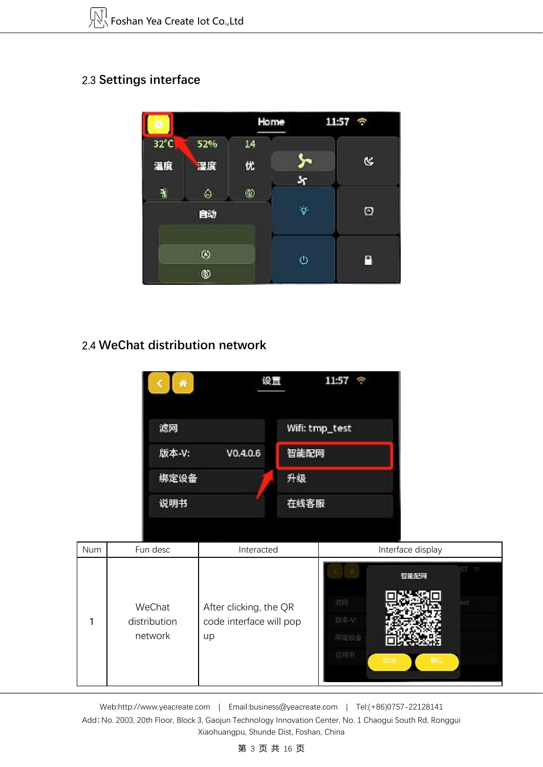# 2.3 **Settings interface**



## 2.4 **WeChat distribution network**

| 聋                 | 11:57<br>设置<br>¢ |
|-------------------|------------------|
| 滤网                | Wifi: tmp_test   |
| 版本-V:<br>V0.4.0.6 | 智能配网             |
| 绑定设备              | 升级               |
| 说明书               | 在线客服             |

| Num | Fun desc                          | Interacted                                              | Interface display                               |
|-----|-----------------------------------|---------------------------------------------------------|-------------------------------------------------|
|     | WeChat<br>distribution<br>network | After clicking, the QR<br>code interface will pop<br>up | 57 空<br>÷<br>智能配网<br>滤网<br>est<br>版本-V:<br>绑定设备 |

Web[:http://www.yeacreate.com](http://www.yeacreate.com) | Email[:business@yeacreate.com](mailto:business@yeacreate.com) | Tel:(+86)0757-22128141 Add:No. 2003, 20th Floor, Block 3, Gaojun Technology Innovation Center, No. 1 Chaogui South Rd, Ronggui Xiaohuangpu, Shunde Dist, Foshan, China

#### 第 3 页 共 16 页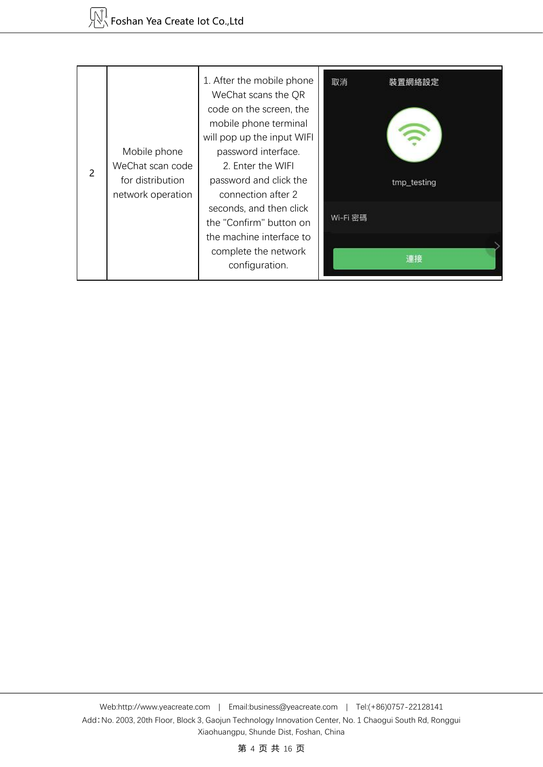| 2 | Mobile phone<br>WeChat scan code<br>for distribution<br>network operation | 1. After the mobile phone<br>WeChat scans the QR<br>code on the screen, the<br>mobile phone terminal<br>will pop up the input WIFI<br>password interface.<br>2. Enter the WIFI<br>password and click the<br>connection after 2 | 取消<br>裝置網絡設定<br>tmp_testing |
|---|---------------------------------------------------------------------------|--------------------------------------------------------------------------------------------------------------------------------------------------------------------------------------------------------------------------------|-----------------------------|
|   |                                                                           | seconds, and then click<br>the "Confirm" button on<br>the machine interface to<br>complete the network<br>configuration.                                                                                                       | Wi-Fi 密碼<br>津楼              |

第 4 页 共 16 页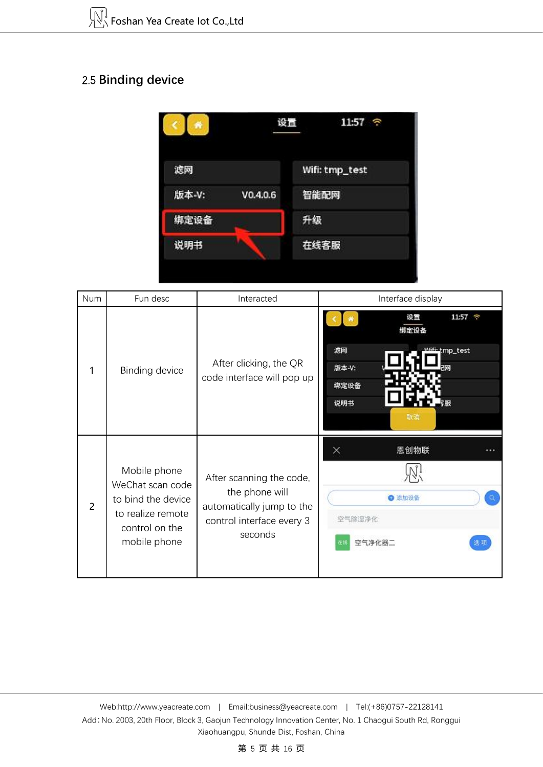# 2.5 **Binding device**



| Num            | Fun desc                                                                                                      | Interacted                                                                                                      | Interface display                                                                                    |
|----------------|---------------------------------------------------------------------------------------------------------------|-----------------------------------------------------------------------------------------------------------------|------------------------------------------------------------------------------------------------------|
| 1              | Binding device                                                                                                | After clicking, the QR<br>code interface will pop up                                                            | 11:57 $\hat{ }$<br>设置<br>绑定设备<br>滤网<br><b>MGFi-tmp_test</b><br>版本-V:<br>राष्ट्र<br>绑定设备<br>说明书<br>取消 |
| $\overline{2}$ | Mobile phone<br>WeChat scan code<br>to bind the device<br>to realize remote<br>control on the<br>mobile phone | After scanning the code,<br>the phone will<br>automatically jump to the<br>control interface every 3<br>seconds | 恩创物联<br>×<br><br>● 添加设备<br>$\alpha$<br>空气除湿净化<br>选项<br>空气净化<br>Œ٤                                    |

Web[:http://www.yeacreate.com](http://www.yeacreate.com) | Email[:business@yeacreate.com](mailto:business@yeacreate.com) | Tel:(+86)0757-22128141 Add:No. 2003, 20th Floor, Block 3, Gaojun Technology Innovation Center, No. 1 Chaogui South Rd, Ronggui Xiaohuangpu, Shunde Dist, Foshan, China

#### 第 5 页 共 16 页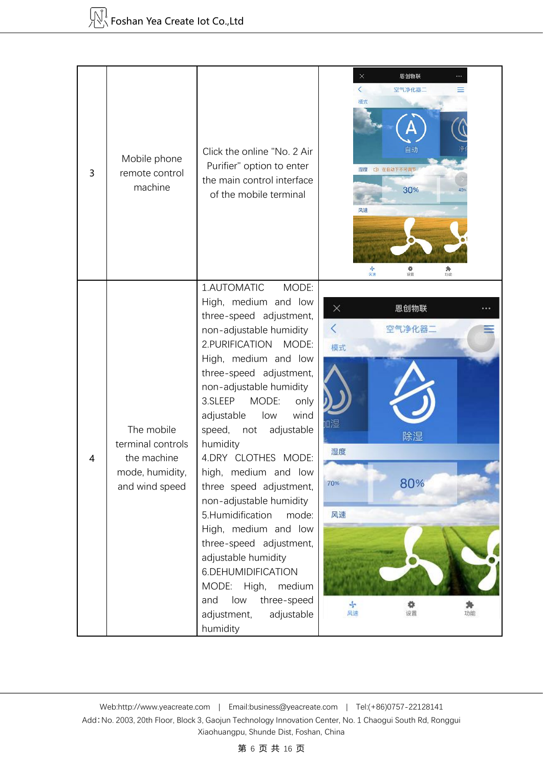| 3 | Mobile phone<br>remote control<br>machine                                           | Click the online "No. 2 Air<br>Purifier" option to enter<br>the main control interface<br>of the mobile terminal                                                                                                                                                                                                                                                                                                                                                                                                                                                                                                                            | ×<br>恩创物联<br>$\langle$<br>空气净化器二<br>模式<br>自动<br>湿度<br>C) 在自动下不可<br>30%<br>风速<br>青庭<br>尊设置<br>功能       |
|---|-------------------------------------------------------------------------------------|---------------------------------------------------------------------------------------------------------------------------------------------------------------------------------------------------------------------------------------------------------------------------------------------------------------------------------------------------------------------------------------------------------------------------------------------------------------------------------------------------------------------------------------------------------------------------------------------------------------------------------------------|-------------------------------------------------------------------------------------------------------|
| 4 | The mobile<br>terminal controls<br>the machine<br>mode, humidity,<br>and wind speed | 1.AUTOMATIC<br>MODE:<br>High, medium and low<br>three-speed adjustment,<br>non-adjustable humidity<br>2. PURIFICATION MODE:<br>High, medium and low<br>three-speed adjustment,<br>non-adjustable humidity<br>3.SLEEP<br>MODE:<br>only<br>wind<br>adjustable<br>low<br>speed, not<br>adjustable<br>humidity<br>4.DRY CLOTHES MODE:<br>high, medium and low<br>three speed adjustment,<br>non-adjustable humidity<br>5.Humidification<br>mode:<br>High, medium and low<br>three-speed adjustment,<br>adjustable humidity<br>6.DEHUMIDIFICATION<br>MODE: High,<br>medium<br>three-speed<br>low<br>and<br>adjustable<br>adjustment,<br>humidity | 恩创物联<br>×<br>空气净化器二<br>模式<br>血酒<br>除湿<br>湿度<br>80%<br>70%<br>风速<br>$J_{\rm p}$<br>۰<br>风速<br>设置<br>功能 |

#### 第 6 页 共 16 页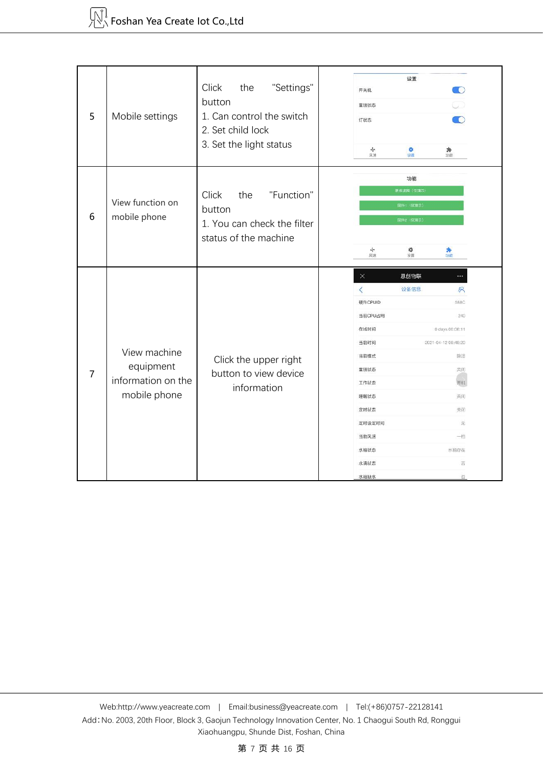| 5                                     | Mobile settings    | Click<br>"Settings"<br>the<br>button<br>1. Can control the switch<br>2. Set child lock<br>3. Set the light status | 设置<br>TO.<br>开关机<br>童锁状态<br>TO)<br>灯状态<br>$\sim$<br>۰<br>身功能<br>风速<br>设置 |  |
|---------------------------------------|--------------------|-------------------------------------------------------------------------------------------------------------------|--------------------------------------------------------------------------|--|
| View function on<br>6<br>mobile phone |                    | "Function"<br>Click<br>the<br>button<br>1. You can check the filter                                               | 功能<br>更换滤网 (仅演示)<br>固件1 (仅演示)<br><b>固件2 (仅演示)</b>                        |  |
|                                       |                    | status of the machine                                                                                             | ÷<br>۰<br>身<br>风速<br>设置                                                  |  |
|                                       |                    |                                                                                                                   | $\times$<br>恩创物联<br>$\cdots$                                             |  |
|                                       |                    |                                                                                                                   | $\overline{\left( \right. }%$<br>设备信息<br>R.                              |  |
|                                       |                    |                                                                                                                   | 硬件CPUID<br>588C                                                          |  |
|                                       |                    |                                                                                                                   | 当前CPU占用<br>240                                                           |  |
|                                       |                    |                                                                                                                   | 在线时间<br>0 days 00:06:11                                                  |  |
|                                       | View machine       |                                                                                                                   | 当前时间<br>2021-04-12 08:48:20                                              |  |
|                                       | equipment          | Click the upper right                                                                                             | 当前模式<br>除湿<br>童锁状态<br>关闭                                                 |  |
| 7                                     | information on the | button to view device                                                                                             | 工作状态<br>开机                                                               |  |
|                                       | mobile phone       | information                                                                                                       | 睡眠状态<br>关闭                                                               |  |
|                                       |                    |                                                                                                                   | 定时状态<br>关闭                                                               |  |
|                                       |                    |                                                                                                                   | 定时设定时间<br>无                                                              |  |
|                                       |                    |                                                                                                                   | 当前风速<br>一档                                                               |  |
|                                       |                    |                                                                                                                   | 水箱状态<br>水箱存在                                                             |  |
|                                       |                    |                                                                                                                   | 否<br>水满状态                                                                |  |
|                                       |                    |                                                                                                                   | 水箱缺水<br>$\overline{45}$                                                  |  |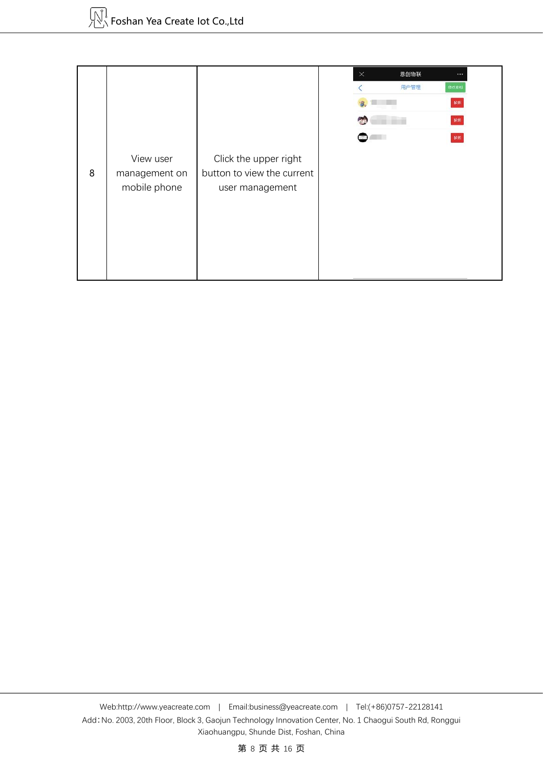|   |               |                            | $\times$ | 恩创物联 |      |
|---|---------------|----------------------------|----------|------|------|
|   |               |                            |          | 用户管理 | 修改密码 |
|   |               |                            |          |      | 解绑   |
|   |               |                            |          |      | 解绑   |
|   |               |                            |          |      | 解绑   |
|   | View user     | Click the upper right      |          |      |      |
| 8 | management on | button to view the current |          |      |      |
|   | mobile phone  | user management            |          |      |      |
|   |               |                            |          |      |      |
|   |               |                            |          |      |      |
|   |               |                            |          |      |      |
|   |               |                            |          |      |      |
|   |               |                            |          |      |      |

第 8 页 共 16 页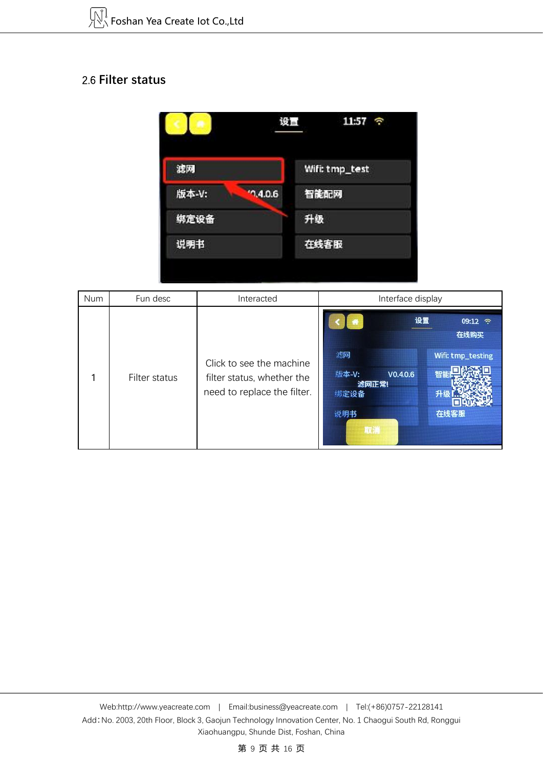### 2.6 **Filter status**



| Num | Fun desc      | Interacted                                                                            | Interface display                                     |                                              |
|-----|---------------|---------------------------------------------------------------------------------------|-------------------------------------------------------|----------------------------------------------|
|     | Filter status | Click to see the machine<br>filter status, whether the<br>need to replace the filter. | 设置<br>滤网<br>版本-V:<br>V0.4.0.6<br>滤网正常!<br>绑定设备<br>说明书 | 09:12 令<br>在线购买<br>Wifi: tmp_testing<br>在线客服 |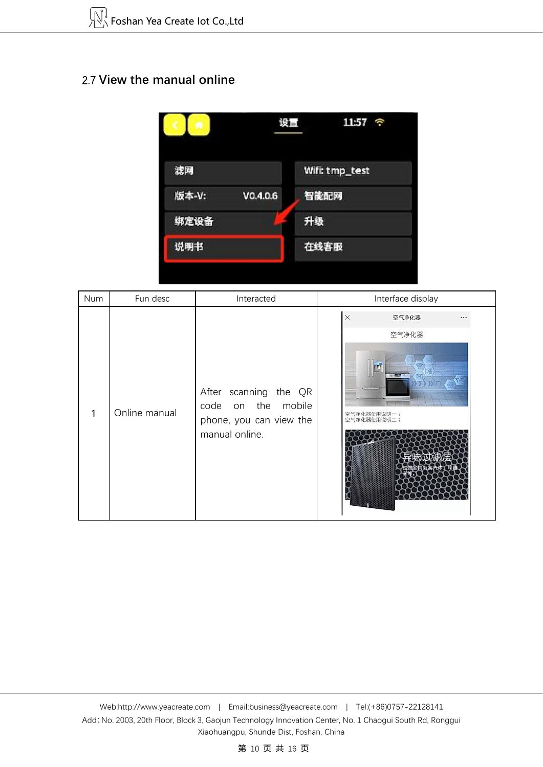## 2.7 **View the manual online**



| Num | Fun desc      | Interacted                                                                               | Interface display                          |
|-----|---------------|------------------------------------------------------------------------------------------|--------------------------------------------|
| 1   | Online manual | After scanning the QR<br>code on the mobile<br>phone, you can view the<br>manual online. | $\mathsf{X}$<br>空气净化器<br>空气净化器<br>空气净化器使用说 |

第 10 页 共 16 页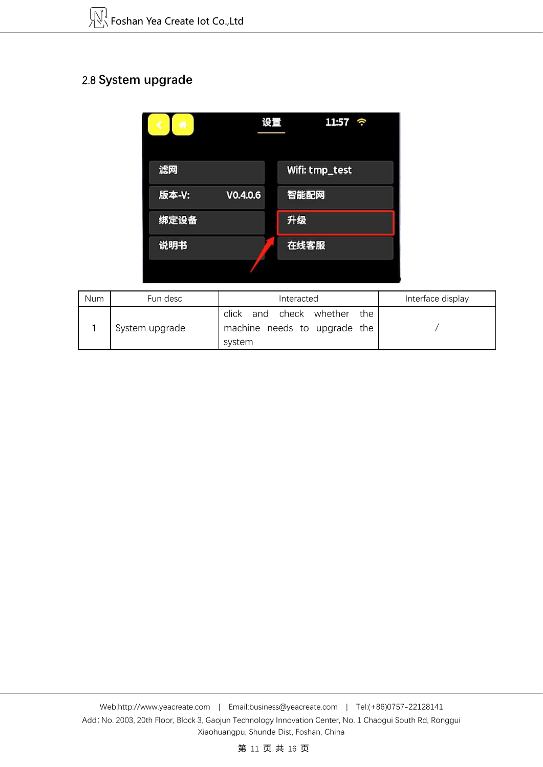# 2.8 **System upgrade**

| œ                 | 设置<br>11:57<br>é, |  |
|-------------------|-------------------|--|
| 滤网                | Wifi: tmp_test    |  |
| 版本-V:<br>V0.4.0.6 | 智能配网              |  |
| 绑定设备              | 升级                |  |
| 说明书               | 在线客服              |  |
|                   |                   |  |

| Num | Fun desc       | Interacted                                                                     | Interface display |
|-----|----------------|--------------------------------------------------------------------------------|-------------------|
|     | System upgrade | check whether<br>click<br>the<br>and<br>machine needs to upgrade the<br>system |                   |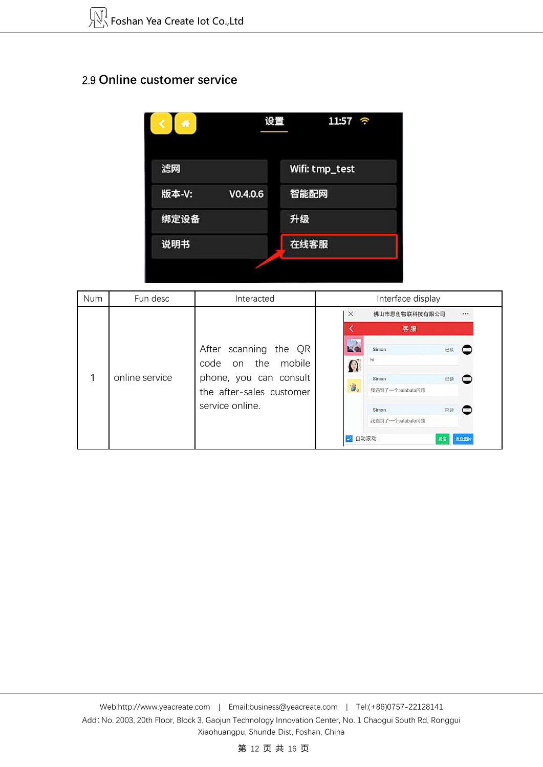## 2.9 **Online customer service**



| <b>Num</b> | Fun desc                                                             | Interacted                                     |                                 | Interface display               |      |
|------------|----------------------------------------------------------------------|------------------------------------------------|---------------------------------|---------------------------------|------|
|            |                                                                      |                                                | X                               | 佛山市恩创物联科技有限公司                   |      |
|            |                                                                      |                                                |                                 | 客服                              |      |
|            |                                                                      | After scanning the QR<br>on the mobile<br>code | $\blacktriangle$                | Simon<br>已读<br>hi               |      |
|            | online service<br>phone, you can consult<br>the after-sales customer | 審                                              | Simon<br>已读<br>我遇到了一个balabala问题 |                                 |      |
|            |                                                                      | service online.                                |                                 | 已读<br>Simon<br>我遇到了一个balabala问题 |      |
|            |                                                                      |                                                | $\sim$                          | 自动滚动<br>发送                      | 发送图片 |

第 12 页 共 16 页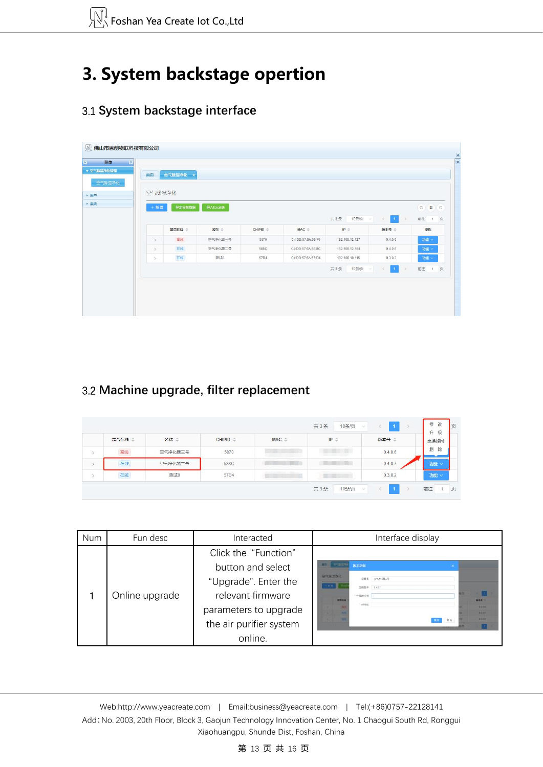# **3. System backstage opertion**

# 3.1 **System backstage interface**

| ▼ 空气除湿净化管理 | 首页            | 空气除湿净化 × |          |            |                   |                |                                             |                                                                      |
|------------|---------------|----------|----------|------------|-------------------|----------------|---------------------------------------------|----------------------------------------------------------------------|
| 空气除湿净化     | 空气除湿净化        |          |          |            |                   |                |                                             |                                                                      |
|            | $+$ 新 増       | 导出设备数据   | 导入Excel表 |            |                   |                |                                             | $\circ$<br>$\left( \frac{1}{2} \right)$ $\left( \frac{1}{2} \right)$ |
|            |               |          |          |            |                   | 10条/页<br>共3条   | $\vert 1 \vert$<br>$\,$<br>$\sim$<br>$\leq$ | 页<br>前往<br>$-1$                                                      |
|            |               | 是否在线 ÷   | 名称 章     | $CHIPID =$ | $MAC =$           | $IP =$         | 版本号 章                                       | 操作                                                                   |
|            | $\rightarrow$ | 离线       | 空气争化器三号  | 5870       | C4:DD:57:6A:58:70 | 192.168.12.127 | 0.4.0.6                                     | 功能 v                                                                 |
|            | $\rightarrow$ | 在线       | 空气净化器二号  | 588C       | C4:DD:57:6A:58:8C | 192.168.12.154 | 0.4.0.6                                     | 功能 v                                                                 |
|            | $\rightarrow$ | 在线       | 测试0      | 57D4       | C4:DD:57:6A:57:D4 | 192.168.10.115 | 0.3.0.2                                     | 功能 v                                                                 |
|            |               |          |          |            |                   | 共3条<br>10条/页   | $\mathbf{1}$<br>$\vee$                      | 前往<br>页<br>1                                                         |
|            |               |          |          |            |                   |                |                                             |                                                                      |

# 3.2 **Machine upgrade, filter replacement**

|      | 是否在线 ≑ | 名称 章    | $CHIPID =$              | $MAC \cong$ | $IP \Rightarrow$ | 版本号 章   | 更换滤网   |
|------|--------|---------|-------------------------|-------------|------------------|---------|--------|
|      | 离线     | 空气净化器三号 | <b>HARACTER</b><br>5870 |             | m<br>٠           | 0.4.0.6 | 删<br>除 |
|      | 在线     | 空气净化器二号 | 588C                    |             |                  | 0.4.0.7 | 功能 v   |
| $\,$ | 在线     | 测试0     | 57D4                    |             |                  | 0.3.0.2 | 功能 v   |

| Num | Fun desc       | Interacted                                                                                                                                            | Interface display                                                                                                                              |
|-----|----------------|-------------------------------------------------------------------------------------------------------------------------------------------------------|------------------------------------------------------------------------------------------------------------------------------------------------|
|     | Online upgrade | Click the "Function"<br>button and select<br>"Upgrade". Enter the<br>relevant firmware<br>parameters to upgrade<br>the air purifier system<br>online. | <b>STARSPR</b><br>版本更新<br>皇門旅游净化<br>日報名 交代制法に引<br>加限度 0.427<br>"升级新本职<br><b>TASK</b><br>图4号<br>* ortimes<br><b>TRAIN</b><br>BART<br>1383<br>常道 |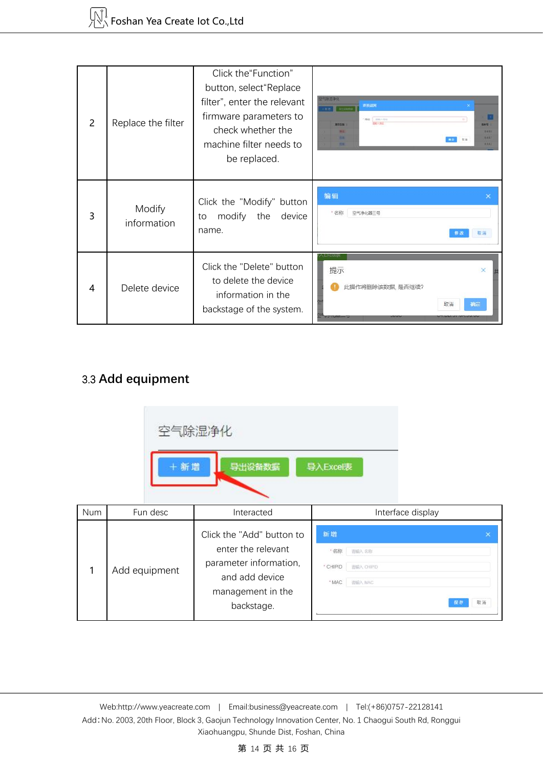| $\mathcal{P}$ | Replace the filter    | Click the "Function"<br>button, select "Replace<br>filter", enter the relevant<br>firmware parameters to<br>check whether the<br>machine filter needs to<br>be replaced. | 进报油网<br>$x = 1$<br><b>STANDARD</b><br>1915<br>$\mathcal{L}$<br><b>Mindia</b><br><b>BORNE</b><br>3433<br><b>BAS</b><br>9,9,9,9 |  |
|---------------|-----------------------|--------------------------------------------------------------------------------------------------------------------------------------------------------------------------|-------------------------------------------------------------------------------------------------------------------------------|--|
| 3             | Modify<br>information | Click the "Modify" button<br>modify the<br>device<br>to<br>name.                                                                                                         | 编辑<br>×<br>* 名称<br>空气净化器三号<br>取消                                                                                              |  |
| 4             | Delete device         | Click the "Delete" button<br>to delete the device<br>information in the<br>backstage of the system.                                                                      | EXCURS<br>提示<br>$\times$<br>此操作将删除该数据,是否继续?<br>取消<br>确定                                                                       |  |

# 3.3 **Add equipment**

|     | + 新增          | 空气除湿净化<br>导出设备数据                                                                                                               | 导入Excel表                                                         |                      |
|-----|---------------|--------------------------------------------------------------------------------------------------------------------------------|------------------------------------------------------------------|----------------------|
| Num | Fun desc      | Interacted                                                                                                                     | Interface display                                                |                      |
| 1   | Add equipment | Click the "Add" button to<br>enter the relevant<br>parameter information,<br>and add device<br>management in the<br>backstage. | 新增<br>"名称<br>通訊入名称<br>* CHIPID<br>造输入 CHIPID<br>流输入 MAC<br>* MAC | $\times$<br>取滿<br>昼存 |

Web[:http://www.yeacreate.com](http://www.yeacreate.com) | Email[:business@yeacreate.com](mailto:business@yeacreate.com) | Tel:(+86)0757-22128141 Add:No. 2003, 20th Floor, Block 3, Gaojun Technology Innovation Center, No. 1 Chaogui South Rd, Ronggui Xiaohuangpu, Shunde Dist, Foshan, China

第 14 页 共 16 页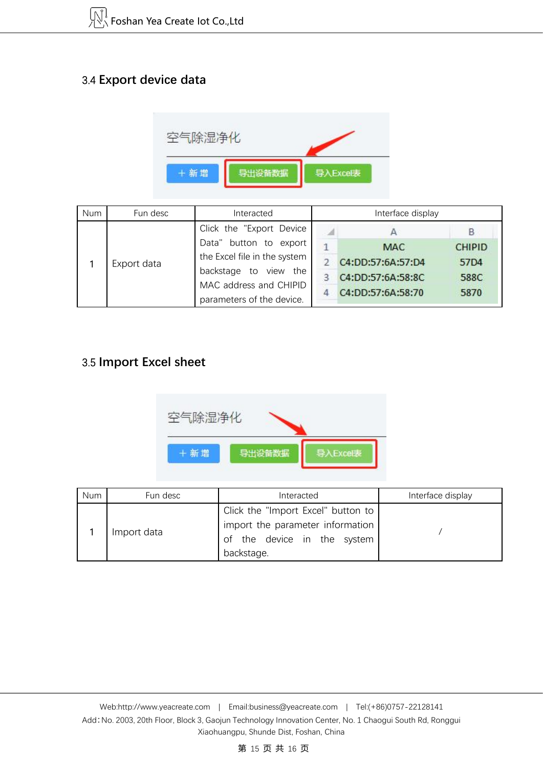# 3.4 **Export device data**



| <b>Num</b> | Fun desc    | Interacted                                                                                                                             |   | Interface display                                                         |                                       |
|------------|-------------|----------------------------------------------------------------------------------------------------------------------------------------|---|---------------------------------------------------------------------------|---------------------------------------|
|            |             | Click the "Export Device"                                                                                                              |   |                                                                           |                                       |
|            | Export data | Data" button to export<br>the Excel file in the system<br>backstage to view the<br>MAC address and CHIPID<br>parameters of the device. | q | <b>MAC</b><br>C4:DD:57:6A:57:D4<br>C4:DD:57:6A:58:8C<br>C4:DD:57:6A:58:70 | <b>CHIPID</b><br>57D4<br>588C<br>5870 |

## 3.5 **Import Excel sheet**



| Num | Fun desc    | Interacted                                                                                                          | Interface display |
|-----|-------------|---------------------------------------------------------------------------------------------------------------------|-------------------|
|     | Import data | Click the "Import Excel" button to<br>import the parameter information<br>of the device in the system<br>backstage. |                   |